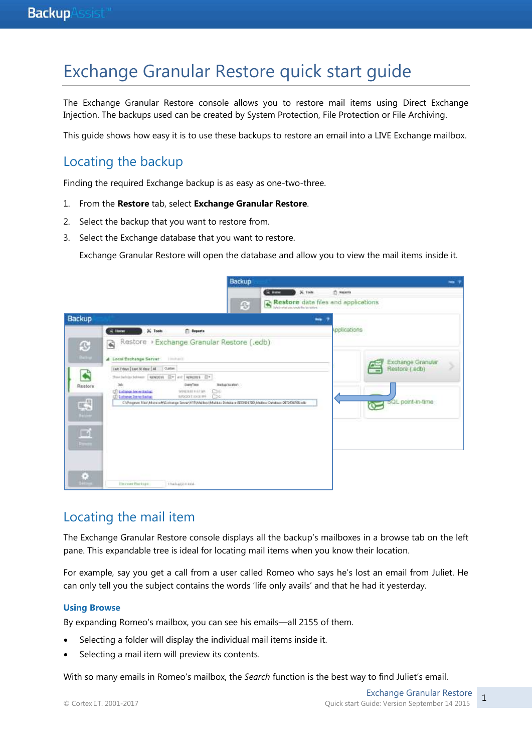# Exchange Granular Restore quick start guide

The Exchange Granular Restore console allows you to restore mail items using Direct Exchange Injection. The backups used can be created by System Protection, File Protection or File Archiving.

This guide shows how easy it is to use these backups to restore an email into a LIVE Exchange mailbox.

## Locating the backup

Finding the required Exchange backup is as easy as one-two-three.

- 1. From the **Restore** tab, select **Exchange Granular Restore**.
- 2. Select the backup that you want to restore from.
- 3. Select the Exchange database that you want to restore.

Exchange Granular Restore will open the database and allow you to view the mail items inside it.

|                                                                                                        | <b>Backup</b>                                                                                                                                                                                                                                                                                                                                                                                                                                            |               |                                                                               | ⊷ |
|--------------------------------------------------------------------------------------------------------|----------------------------------------------------------------------------------------------------------------------------------------------------------------------------------------------------------------------------------------------------------------------------------------------------------------------------------------------------------------------------------------------------------------------------------------------------------|---------------|-------------------------------------------------------------------------------|---|
|                                                                                                        | <b>KING</b><br>O                                                                                                                                                                                                                                                                                                                                                                                                                                         | X. Tools      | <b>Th</b> Reason<br>Restore data files and applications                       |   |
| Backup                                                                                                 |                                                                                                                                                                                                                                                                                                                                                                                                                                                          | <b>Britis</b> |                                                                               |   |
|                                                                                                        | $36$ Tools<br><b>C: Reports</b><br><b>R</b> Home                                                                                                                                                                                                                                                                                                                                                                                                         |               | Applications                                                                  |   |
| $\mathbf{C}$<br><b>Selling</b><br>$\blacklozenge$<br>Restore<br>喝<br><b>Simple</b><br>₫<br><b>From</b> | Restore > Exchange Granular Restore (.edb)<br><b>R</b><br>A Local Exchange Server<br>Last 7 days   Last 30 days   All<br>Outon:<br>Starbehavner MANOR Or ed WHINE Or<br>3dc<br>Diate/Toos<br>Bickip location<br><b>CT toolstop bene that at</b><br>WHERE'S LEWS<br>Cin<br>Cic<br>LT Eistenge Server Backap<br>WASCOTE SOCIETY<br>C/Program File (Microsoft Exchange Server/VTS/Malibur/Malibur/Distribute 0072404780/Malibox Details and OET2456708 rolb |               | Exchange Granular<br>Restore (edb)<br>oQL point-in-time<br>$\hat{\mathbf{r}}$ |   |
| ø                                                                                                      | Discover Distinguis<br>1 halue(0) n kind.                                                                                                                                                                                                                                                                                                                                                                                                                |               |                                                                               |   |

### Locating the mail item

The Exchange Granular Restore console displays all the backup's mailboxes in a browse tab on the left pane. This expandable tree is ideal for locating mail items when you know their location.

For example, say you get a call from a user called Romeo who says he's lost an email from Juliet. He can only tell you the subject contains the words 'life only avails' and that he had it yesterday.

#### **Using Browse**

By expanding Romeo's mailbox, you can see his emails—all 2155 of them.

- Selecting a folder will display the individual mail items inside it.
- Selecting a mail item will preview its contents.

With so many emails in Romeo's mailbox, the *Search* function is the best way to find Juliet's email.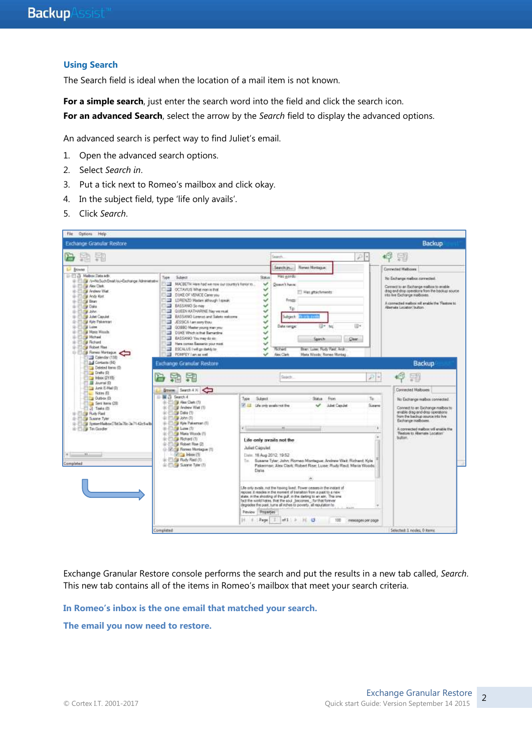### **Using Search**

The Search field is ideal when the location of a mail item is not known.

For a simple search, just enter the search word into the field and click the search icon. **For an advanced Search**, select the arrow by the *Search* field to display the advanced options.

An advanced search is perfect way to find Juliet's email.

- 1. Open the advanced search options.
- 2. Select *Search in*.
- 3. Put a tick next to Romeo's mailbox and click okay.
- 4. In the subject field, type 'life only avails'.
- 5. Click *Search*.



Exchange Granular Restore console performs the search and put the results in a new tab called, *Search*. This new tab contains all of the items in Romeo's mailbox that meet your search criteria.

**In Romeo's inbox is the one email that matched your search.** 

**The email you now need to restore.**